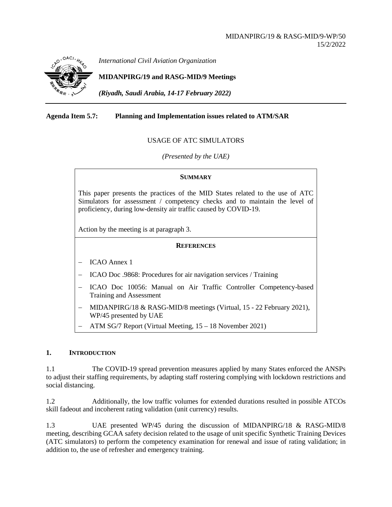

*International Civil Aviation Organization*

# **MIDANPIRG/19 and RASG-MID/9 Meetings**

*(Riyadh, Saudi Arabia, 14-17 February 2022)*

### **Agenda Item 5.7: Planning and Implementation issues related to ATM/SAR**

### USAGE OF ATC SIMULATORS

*(Presented by the UAE)*

#### **SUMMARY**

This paper presents the practices of the MID States related to the use of ATC Simulators for assessment / competency checks and to maintain the level of proficiency, during low-density air traffic caused by COVID-19.

Action by the meeting is at paragraph 3.

#### **REFERENCES**

− ICAO Annex 1

− ICAO Doc .9868: Procedures for air navigation services / Training

- − ICAO Doc 10056: Manual on Air Traffic Controller Competency-based Training and Assessment
- − MIDANPIRG/18 & RASG-MID/8 meetings (Virtual, 15 22 February 2021), WP/45 presented by UAE
- − ATM SG/7 Report (Virtual Meeting, 15 18 November 2021)

### **1. INTRODUCTION**

1.1 The COVID-19 spread prevention measures applied by many States enforced the ANSPs to adjust their staffing requirements, by adapting staff rostering complying with lockdown restrictions and social distancing.

1.2 Additionally, the low traffic volumes for extended durations resulted in possible ATCOs skill fadeout and incoherent rating validation (unit currency) results.

1.3 UAE presented WP/45 during the discussion of MIDANPIRG/18 & RASG-MID/8 meeting, describing GCAA safety decision related to the usage of unit specific Synthetic Training Devices (ATC simulators) to perform the competency examination for renewal and issue of rating validation; in addition to, the use of refresher and emergency training.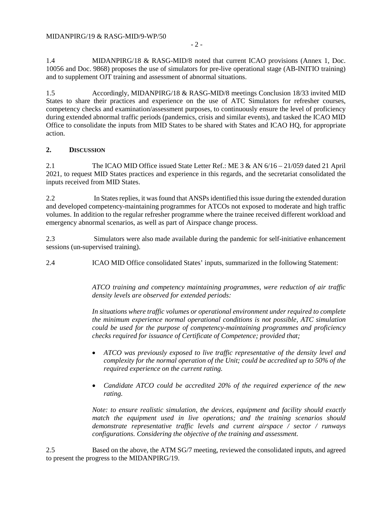1.4 MIDANPIRG/18 & RASG-MID/8 noted that current ICAO provisions (Annex 1, Doc. 10056 and Doc. 9868) proposes the use of simulators for pre-live operational stage (AB-INITIO training) and to supplement OJT training and assessment of abnormal situations.

1.5 Accordingly, MIDANPIRG/18 & RASG-MID/8 meetings Conclusion 18/33 invited MID States to share their practices and experience on the use of ATC Simulators for refresher courses, competency checks and examination/assessment purposes, to continuously ensure the level of proficiency during extended abnormal traffic periods (pandemics, crisis and similar events), and tasked the ICAO MID Office to consolidate the inputs from MID States to be shared with States and ICAO HQ, for appropriate action.

## **2. DISCUSSION**

2.1 The ICAO MID Office issued State Letter Ref.: ME 3 & AN 6/16 – 21/059 dated 21 April 2021, to request MID States practices and experience in this regards, and the secretariat consolidated the inputs received from MID States.

2.2 In States replies, it was found that ANSPs identified this issue during the extended duration and developed competency-maintaining programmes for ATCOs not exposed to moderate and high traffic volumes. In addition to the regular refresher programme where the trainee received different workload and emergency abnormal scenarios, as well as part of Airspace change process.

2.3 Simulators were also made available during the pandemic for self-initiative enhancement sessions (un-supervised training).

2.4 ICAO MID Office consolidated States' inputs, summarized in the following Statement:

*ATCO training and competency maintaining programmes, were reduction of air traffic density levels are observed for extended periods:*

*In situations where traffic volumes or operational environment under required to complete the minimum experience normal operational conditions is not possible, ATC simulation could be used for the purpose of competency-maintaining programmes and proficiency checks required for issuance of Certificate of Competence; provided that;* 

- *ATCO was previously exposed to live traffic representative of the density level and complexity for the normal operation of the Unit; could be accredited up to 50% of the required experience on the current rating.*
- *Candidate ATCO could be accredited 20% of the required experience of the new rating.*

*Note: to ensure realistic simulation, the devices, equipment and facility should exactly match the equipment used in live operations; and the training scenarios should demonstrate representative traffic levels and current airspace / sector / runways configurations. Considering the objective of the training and assessment.*

2.5 Based on the above, the ATM SG/7 meeting, reviewed the consolidated inputs, and agreed to present the progress to the MIDANPIRG/19.